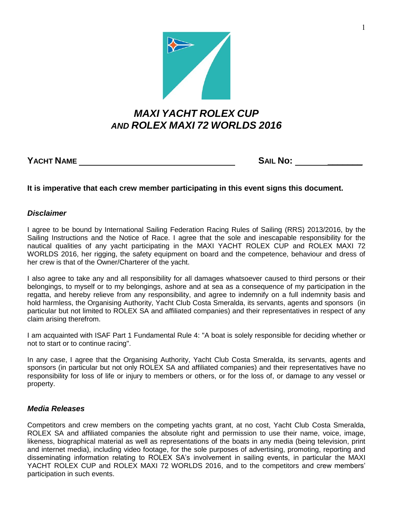

## *MAXI YACHT ROLEX CUP AND ROLEX MAXI 72 WORLDS 2016*

**YACHT NAME SAIL No: \_\_\_\_\_\_\_**

**It is imperative that each crew member participating in this event signs this document.**

## *Disclaimer*

I agree to be bound by International Sailing Federation Racing Rules of Sailing (RRS) 2013/2016, by the Sailing Instructions and the Notice of Race. I agree that the sole and inescapable responsibility for the nautical qualities of any yacht participating in the MAXI YACHT ROLEX CUP and ROLEX MAXI 72 WORLDS 2016, her rigging, the safety equipment on board and the competence, behaviour and dress of her crew is that of the Owner/Charterer of the yacht.

I also agree to take any and all responsibility for all damages whatsoever caused to third persons or their belongings, to myself or to my belongings, ashore and at sea as a consequence of my participation in the regatta, and hereby relieve from any responsibility, and agree to indemnify on a full indemnity basis and hold harmless, the Organising Authority, Yacht Club Costa Smeralda, its servants, agents and sponsors (in particular but not limited to ROLEX SA and affiliated companies) and their representatives in respect of any claim arising therefrom.

I am acquainted with ISAF Part 1 Fundamental Rule 4: "A boat is solely responsible for deciding whether or not to start or to continue racing".

In any case, I agree that the Organising Authority, Yacht Club Costa Smeralda, its servants, agents and sponsors (in particular but not only ROLEX SA and affiliated companies) and their representatives have no responsibility for loss of life or injury to members or others, or for the loss of, or damage to any vessel or property.

## *Media Releases*

Competitors and crew members on the competing yachts grant, at no cost, Yacht Club Costa Smeralda, ROLEX SA and affiliated companies the absolute right and permission to use their name, voice, image, likeness, biographical material as well as representations of the boats in any media (being television, print and internet media), including video footage, for the sole purposes of advertising, promoting, reporting and disseminating information relating to ROLEX SA's involvement in sailing events, in particular the MAXI YACHT ROLEX CUP and ROLEX MAXI 72 WORLDS 2016, and to the competitors and crew members' participation in such events.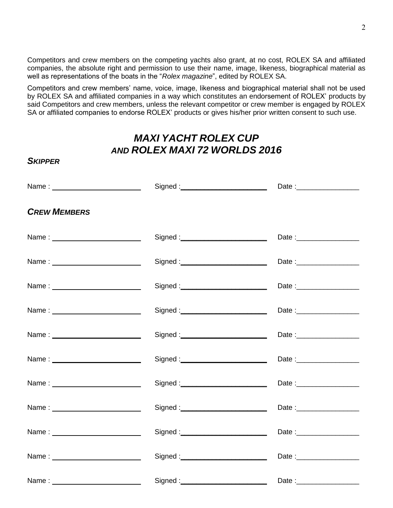Competitors and crew members on the competing yachts also grant, at no cost, ROLEX SA and affiliated companies, the absolute right and permission to use their name, image, likeness, biographical material as well as representations of the boats in the "*Rolex magazine*", edited by ROLEX SA.

Competitors and crew members' name, voice, image, likeness and biographical material shall not be used by ROLEX SA and affiliated companies in a way which constitutes an endorsement of ROLEX' products by said Competitors and crew members, unless the relevant competitor or crew member is engaged by ROLEX SA or affiliated companies to endorse ROLEX' products or gives his/her prior written consent to such use.

## *MAXI YACHT ROLEX CUP AND ROLEX MAXI 72 WORLDS 2016*

*SKIPPER*

| <b>CREW MEMBERS</b> |                                      |                           |
|---------------------|--------------------------------------|---------------------------|
|                     | Signed : ___________________________ |                           |
|                     | Signed :___________________________  |                           |
|                     |                                      |                           |
|                     |                                      |                           |
|                     |                                      |                           |
|                     |                                      | Date:                     |
| Name: $\frac{1}{2}$ | Signed : _________________________   | Date :___________________ |
|                     |                                      |                           |
|                     |                                      |                           |
|                     |                                      |                           |
|                     |                                      |                           |